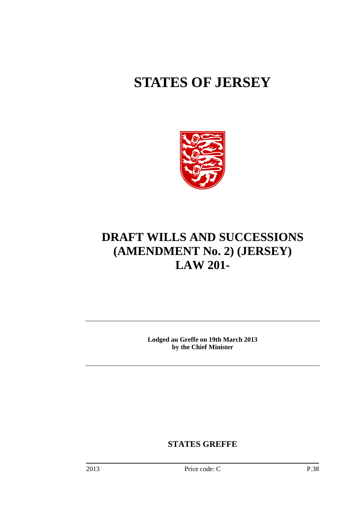# **STATES OF JERSEY**



## **DRAFT WILLS AND SUCCESSIONS (AMENDMENT No. 2) (JERSEY) LAW 201-**

**Lodged au Greffe on 19th March 2013 by the Chief Minister** 

**STATES GREFFE**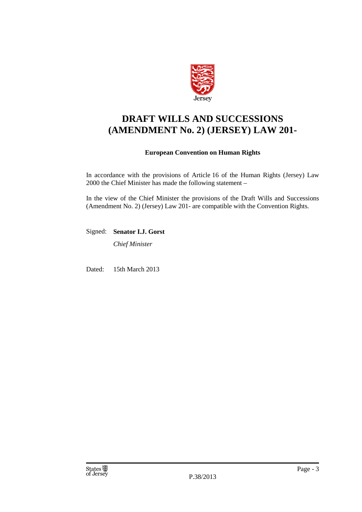

### **DRAFT WILLS AND SUCCESSIONS (AMENDMENT No. 2) (JERSEY) LAW 201-**

### **European Convention on Human Rights**

In accordance with the provisions of Article 16 of the Human Rights (Jersey) Law 2000 the Chief Minister has made the following statement –

In the view of the Chief Minister the provisions of the Draft Wills and Successions (Amendment No. 2) (Jersey) Law 201- are compatible with the Convention Rights.

Signed: **Senator I.J. Gorst** 

*Chief Minister* 

Dated: 15th March 2013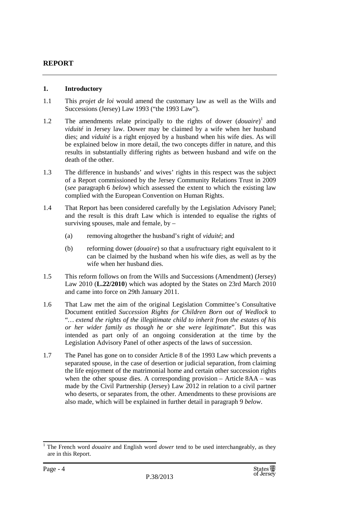### **REPORT**

### **1. Introductory**

- 1.1 This *projet de loi* would amend the customary law as well as the Wills and Successions (Jersey) Law 1993 ("the 1993 Law").
- 1.2 The amendments relate principally to the rights of dower (*douaire*)<sup>1</sup> and *viduité* in Jersey law. Dower may be claimed by a wife when her husband dies; and *viduité* is a right enjoyed by a husband when his wife dies. As will be explained below in more detail, the two concepts differ in nature, and this results in substantially differing rights as between husband and wife on the death of the other.
- 1.3 The difference in husbands' and wives' rights in this respect was the subject of a Report commissioned by the Jersey Community Relations Trust in 2009 (*see* paragraph 6 *below*) which assessed the extent to which the existing law complied with the European Convention on Human Rights.
- 1.4 That Report has been considered carefully by the Legislation Advisory Panel; and the result is this draft Law which is intended to equalise the rights of surviving spouses, male and female, by –
	- (a) removing altogether the husband's right of *viduité*; and
	- (b) reforming dower (*douaire*) so that a usufructuary right equivalent to it can be claimed by the husband when his wife dies, as well as by the wife when her husband dies.
- 1.5 This reform follows on from the Wills and Successions (Amendment) (Jersey) Law 2010 (**L.22/2010**) which was adopted by the States on 23rd March 2010 and came into force on 29th January 2011.
- 1.6 That Law met the aim of the original Legislation Committee's Consultative Document entitled *Succession Rights for Children Born out of Wedlock* to "*… extend the rights of the illegitimate child to inherit from the estates of his or her wider family as though he or she were legitimate*". But this was intended as part only of an ongoing consideration at the time by the Legislation Advisory Panel of other aspects of the laws of succession.
- 1.7 The Panel has gone on to consider Article 8 of the 1993 Law which prevents a separated spouse, in the case of desertion or judicial separation, from claiming the life enjoyment of the matrimonial home and certain other succession rights when the other spouse dies. A corresponding provision – Article 8AA – was made by the Civil Partnership (Jersey) Law 2012 in relation to a civil partner who deserts, or separates from, the other. Amendments to these provisions are also made, which will be explained in further detail in paragraph 9 *below*.

<sup>&</sup>lt;sup>1</sup> The French word *douaire* and English word *dower* tend to be used interchangeably, as they are in this Report.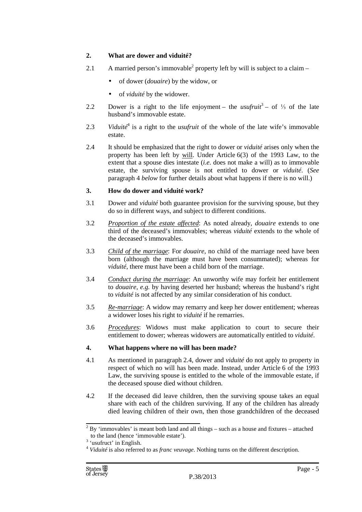### **2. What are dower and viduité?**

- 2.1 A married person's immovable<sup>2</sup> property left by will is subject to a claim
	- of dower (*douaire*) by the widow, or
	- of *viduité* by the widower.
- 2.2 Dower is a right to the life enjoyment the *usufruit*<sup>3</sup> of 1/3 of the late husband's immovable estate.
- 2.3 *Viduité*<sup>4</sup> is a right to the *usufruit* of the whole of the late wife's immovable estate.
- 2.4 It should be emphasized that the right to dower or *viduité* arises only when the property has been left by will. Under Article 6(3) of the 1993 Law, to the extent that a spouse dies intestate (*i.e.* does not make a will) as to immovable estate, the surviving spouse is not entitled to dower or *viduité*. (*See*  paragraph 4 *below* for further details about what happens if there is no will.)

### **3. How do dower and viduité work?**

- 3.1 Dower and *viduité* both guarantee provision for the surviving spouse, but they do so in different ways, and subject to different conditions.
- 3.2 *Proportion of the estate affected*: As noted already, *douaire* extends to one third of the deceased's immovables; whereas *viduité* extends to the whole of the deceased's immovables.
- 3.3 *Child of the marriage*: For *douaire*, no child of the marriage need have been born (although the marriage must have been consummated); whereas for *viduité*, there must have been a child born of the marriage.
- 3.4 *Conduct during the marriage*: An unworthy wife may forfeit her entitlement to *douaire, e.g.* by having deserted her husband; whereas the husband's right to *viduité* is not affected by any similar consideration of his conduct.
- 3.5 *Re-marriage*: A widow may remarry and keep her dower entitlement; whereas a widower loses his right to *viduité* if he remarries.
- 3.6 *Procedures*: Widows must make application to court to secure their entitlement to dower; whereas widowers are automatically entitled to *viduité*.

### **4. What happens where no will has been made?**

- 4.1 As mentioned in paragraph 2.4, dower and *viduité* do not apply to property in respect of which no will has been made. Instead, under Article 6 of the 1993 Law, the surviving spouse is entitled to the whole of the immovable estate, if the deceased spouse died without children.
- 4.2 If the deceased did leave children, then the surviving spouse takes an equal share with each of the children surviving. If any of the children has already died leaving children of their own, then those grandchildren of the deceased

 $2^{2}$  By 'immovables' is meant both land and all things – such as a house and fixtures – attached to the land (hence 'immovable estate').

<sup>&</sup>lt;sup>3</sup> 'usufruct' in English.

<sup>4</sup> *Viduité* is also referred to as *franc veuvage*. Nothing turns on the different description.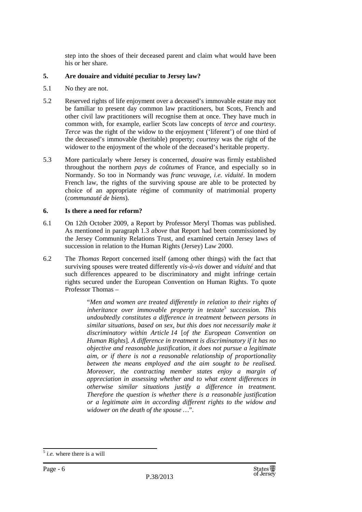step into the shoes of their deceased parent and claim what would have been his or her share.

### **5. Are douaire and viduité peculiar to Jersey law?**

- 5.1 No they are not.
- 5.2 Reserved rights of life enjoyment over a deceased's immovable estate may not be familiar to present day common law practitioners, but Scots, French and other civil law practitioners will recognise them at once. They have much in common with, for example, earlier Scots law concepts of *terce* and *courtesy*. *Terce* was the right of the widow to the enjoyment ('liferent') of one third of the deceased's immovable (heritable) property; *courtesy* was the right of the widower to the enjoyment of the whole of the deceased's heritable property.
- 5.3 More particularly where Jersey is concerned, *douaire* was firmly established throughout the northern *pays de coûtumes* of France, and especially so in Normandy. So too in Normandy was *franc veuvage*, *i.e. viduité*. In modern French law, the rights of the surviving spouse are able to be protected by choice of an appropriate régime of community of matrimonial property (*communauté de biens*).

### **6. Is there a need for reform?**

- 6.1 On 12th October 2009, a Report by Professor Meryl Thomas was published. As mentioned in paragraph 1.3 *above* that Report had been commissioned by the Jersey Community Relations Trust, and examined certain Jersey laws of succession in relation to the Human Rights (Jersey) Law 2000.
- 6.2 The *Thomas* Report concerned itself (among other things) with the fact that surviving spouses were treated differently *vis-à-vis* dower and *viduité* and that such differences appeared to be discriminatory and might infringe certain rights secured under the European Convention on Human Rights. To quote Professor Thomas –

"*Men and women are treated differently in relation to their rights of inheritance over immovable property in testate*<sup>5</sup>  *succession. This undoubtedly constitutes a difference in treatment between persons in similar situations, based on sex, but this does not necessarily make it discriminatory within Article 14* [*of the European Convention on Human Rights*]*. A difference in treatment is discriminatory if it has no objective and reasonable justification, it does not pursue a legitimate aim, or if there is not a reasonable relationship of proportionality between the means employed and the aim sought to be realised. Moreover, the contracting member states enjoy a margin of appreciation in assessing whether and to what extent differences in otherwise similar situations justify a difference in treatment. Therefore the question is whether there is a reasonable justification or a legitimate aim in according different rights to the widow and widower on the death of the spouse …*".

<sup>5</sup> *i.e.* where there is a will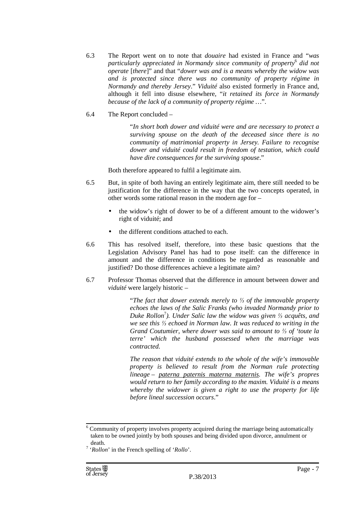- 6.3 The Report went on to note that *douaire* had existed in France and "*was particularly appreciated in Normandy since community of property*<sup>6</sup>  *did not operate* [*there*]" and that "*dower was and is a means whereby the widow was and is protected since there was no community of property régime in Normandy and thereby Jersey*." *Viduité* also existed formerly in France and, although it fell into disuse elsewhere, "*it retained its force in Normandy because of the lack of a community of property régime …*".
- 6.4 The Report concluded –

"*In short both dower and viduité were and are necessary to protect a surviving spouse on the death of the deceased since there is no community of matrimonial property in Jersey. Failure to recognise dower and viduité could result in freedom of testation, which could have dire consequences for the surviving spouse*."

Both therefore appeared to fulfil a legitimate aim.

- 6.5 But, in spite of both having an entirely legitimate aim, there still needed to be justification for the difference in the way that the two concepts operated, in other words some rational reason in the modern age for –
	- the widow's right of dower to be of a different amount to the widower's right of viduité; and
	- the different conditions attached to each.
- 6.6 This has resolved itself, therefore, into these basic questions that the Legislation Advisory Panel has had to pose itself: can the difference in amount and the difference in conditions be regarded as reasonable and justified? Do those differences achieve a legitimate aim?
- 6.7 Professor Thomas observed that the difference in amount between dower and *viduité* were largely historic –

"*The fact that dower extends merely to ⅓ of the immovable property echoes the laws of the Salic Franks (who invaded Normandy prior to Duke Rollon*<sup>7</sup> *). Under Salic law the widow was given ⅓ acquêts, and we see this ⅓ echoed in Norman law. It was reduced to writing in the Grand Coutumier, where dower was said to amount to ⅓ of 'toute la terre' which the husband possessed when the marriage was contracted.* 

*The reason that viduité extends to the whole of the wife's immovable property is believed to result from the Norman rule protecting lineage – paterna paternis materna maternis. The wife's propres would return to her family according to the maxim. Viduité is a means whereby the widower is given a right to use the property for life before lineal succession occurs*."

<sup>&</sup>lt;sup>6</sup> Community of property involves property acquired during the marriage being automatically taken to be owned jointly by both spouses and being divided upon divorce, annulment or death.

<sup>7</sup> '*Rollon*' in the French spelling of '*Rollo*'.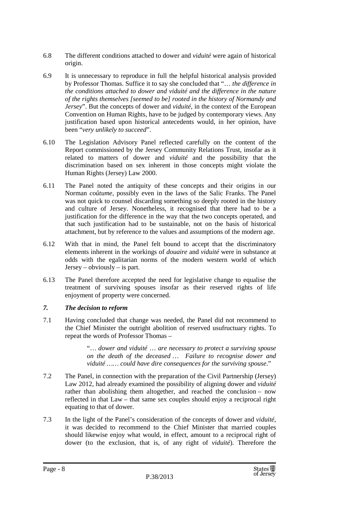- 6.8 The different conditions attached to dower and *viduité* were again of historical origin.
- 6.9 It is unnecessary to reproduce in full the helpful historical analysis provided by Professor Thomas. Suffice it to say she concluded that "… *the difference in the conditions attached to dower and viduité and the difference in the nature of the rights themselves [seemed to be] rooted in the history of Normandy and Jersey*". But the concepts of dower and *viduité*, in the context of the European Convention on Human Rights, have to be judged by contemporary views. Any justification based upon historical antecedents would, in her opinion, have been "*very unlikely to succeed*".
- 6.10 The Legislation Advisory Panel reflected carefully on the content of the Report commissioned by the Jersey Community Relations Trust, insofar as it related to matters of dower and *viduité* and the possibility that the discrimination based on sex inherent in those concepts might violate the Human Rights (Jersey) Law 2000.
- 6.11 The Panel noted the antiquity of these concepts and their origins in our Norman *coûtume*, possibly even in the laws of the Salic Franks. The Panel was not quick to counsel discarding something so deeply rooted in the history and culture of Jersey. Nonetheless, it recognised that there had to be a justification for the difference in the way that the two concepts operated, and that such justification had to be sustainable, not on the basis of historical attachment, but by reference to the values and assumptions of the modern age.
- 6.12 With that in mind, the Panel felt bound to accept that the discriminatory elements inherent in the workings of *douaire* and *viduité* were in substance at odds with the egalitarian norms of the modern western world of which Jersey – obviously – is part.
- 6.13 The Panel therefore accepted the need for legislative change to equalise the treatment of surviving spouses insofar as their reserved rights of life enjoyment of property were concerned.

### *7. The decision to reform*

7.1 Having concluded that change was needed, the Panel did not recommend to the Chief Minister the outright abolition of reserved usufructuary rights. To repeat the words of Professor Thomas –

> "… *dower and viduité* … *are necessary to protect a surviving spouse on the death of the deceased* … *Failure to recognise dower and viduité …… could have dire consequences for the surviving spouse*."

- 7.2 The Panel, in connection with the preparation of the Civil Partnership (Jersey) Law 2012, had already examined the possibility of aligning dower and *viduité*  rather than abolishing them altogether, and reached the conclusion – now reflected in that Law – that same sex couples should enjoy a reciprocal right equating to that of dower.
- 7.3 In the light of the Panel's consideration of the concepts of dower and *viduité*, it was decided to recommend to the Chief Minister that married couples should likewise enjoy what would, in effect, amount to a reciprocal right of dower (to the exclusion, that is, of any right of *viduité*). Therefore the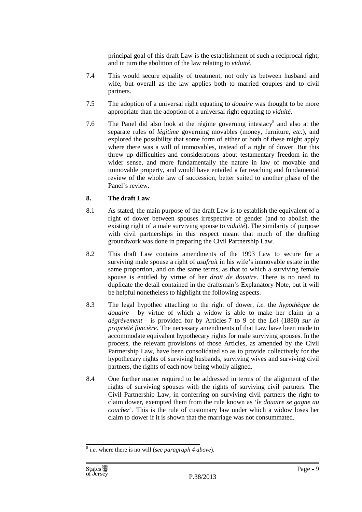principal goal of this draft Law is the establishment of such a reciprocal right; and in turn the abolition of the law relating to *viduité*.

- 7.4 This would secure equality of treatment, not only as between husband and wife, but overall as the law applies both to married couples and to civil partners.
- 7.5 The adoption of a universal right equating to *douaire* was thought to be more appropriate than the adoption of a universal right equating to *viduité*.
- 7.6 The Panel did also look at the régime governing intestacy $\delta$  and also at the separate rules of *légitime* governing movables (money, furniture, *etc.*), and explored the possibility that some form of either or both of these might apply where there was a will of immovables, instead of a right of dower. But this threw up difficulties and considerations about testamentary freedom in the wider sense, and more fundamentally the nature in law of movable and immovable property, and would have entailed a far reaching and fundamental review of the whole law of succession, better suited to another phase of the Panel's review.

### **8. The draft Law**

- 8.1 As stated, the main purpose of the draft Law is to establish the equivalent of a right of dower between spouses irrespective of gender (and to abolish the existing right of a male surviving spouse to *viduité*). The similarity of purpose with civil partnerships in this respect meant that much of the drafting groundwork was done in preparing the Civil Partnership Law.
- 8.2 This draft Law contains amendments of the 1993 Law to secure for a surviving male spouse a right of *usufruit* in his wife's immovable estate in the same proportion, and on the same terms, as that to which a surviving female spouse is entitled by virtue of her *droit de douaire*. There is no need to duplicate the detail contained in the draftsman's Explanatory Note, but it will be helpful nonetheless to highlight the following aspects.
- 8.3 The legal hypothec attaching to the right of dower, *i.e.* the *hypothèque de douaire* – by virtue of which a widow is able to make her claim in a *dégrèvement* – is provided for by Articles 7 to 9 of the *Loi* (1880) *sur la propriété foncière*. The necessary amendments of that Law have been made to accommodate equivalent hypothecary rights for male surviving spouses. In the process, the relevant provisions of those Articles, as amended by the Civil Partnership Law, have been consolidated so as to provide collectively for the hypothecary rights of surviving husbands, surviving wives and surviving civil partners, the rights of each now being wholly aligned.
- 8.4 One further matter required to be addressed in terms of the alignment of the rights of surviving spouses with the rights of surviving civil partners. The Civil Partnership Law, in conferring on surviving civil partners the right to claim dower, exempted them from the rule known as '*le douaire se gagne au coucher*'. This is the rule of customary law under which a widow loses her claim to dower if it is shown that the marriage was not consummated.

<sup>8</sup> *i.e.* where there is no will (*see paragraph 4 above*).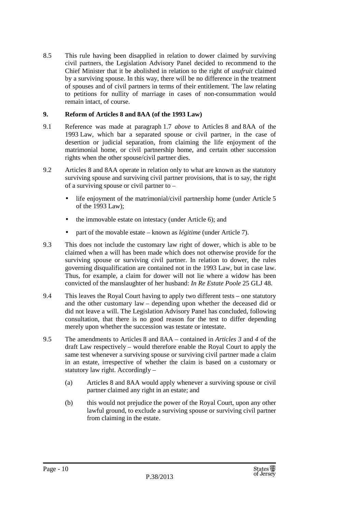8.5 This rule having been disapplied in relation to dower claimed by surviving civil partners, the Legislation Advisory Panel decided to recommend to the Chief Minister that it be abolished in relation to the right of *usufruit* claimed by a surviving spouse. In this way, there will be no difference in the treatment of spouses and of civil partners in terms of their entitlement. The law relating to petitions for nullity of marriage in cases of non-consummation would remain intact, of course.

### **9. Reform of Articles 8 and 8AA (of the 1993 Law)**

- 9.1 Reference was made at paragraph 1.7 *above* to Articles 8 and 8AA of the 1993 Law, which bar a separated spouse or civil partner, in the case of desertion or judicial separation, from claiming the life enjoyment of the matrimonial home, or civil partnership home, and certain other succession rights when the other spouse/civil partner dies.
- 9.2 Articles 8 and 8AA operate in relation only to what are known as the statutory surviving spouse and surviving civil partner provisions, that is to say, the right of a surviving spouse or civil partner to –
	- life enjoyment of the matrimonial/civil partnership home (under Article 5 of the 1993 Law);
	- the immovable estate on intestacy (under Article 6); and
	- part of the movable estate known as *légitime* (under Article 7).
- 9.3 This does not include the customary law right of dower, which is able to be claimed when a will has been made which does not otherwise provide for the surviving spouse or surviving civil partner. In relation to dower, the rules governing disqualification are contained not in the 1993 Law, but in case law. Thus, for example, a claim for dower will not lie where a widow has been convicted of the manslaughter of her husband: *In Re Estate Poole* 25 GLJ 48.
- 9.4 This leaves the Royal Court having to apply two different tests one statutory and the other customary law – depending upon whether the deceased did or did not leave a will. The Legislation Advisory Panel has concluded, following consultation, that there is no good reason for the test to differ depending merely upon whether the succession was testate or intestate.
- 9.5 The amendments to Articles 8 and 8AA contained in *Articles 3* and *4* of the draft Law respectively – would therefore enable the Royal Court to apply the same test whenever a surviving spouse or surviving civil partner made a claim in an estate, irrespective of whether the claim is based on a customary or statutory law right. Accordingly –
	- (a) Articles 8 and 8AA would apply whenever a surviving spouse or civil partner claimed any right in an estate; and
	- (b) this would not prejudice the power of the Royal Court, upon any other lawful ground, to exclude a surviving spouse or surviving civil partner from claiming in the estate.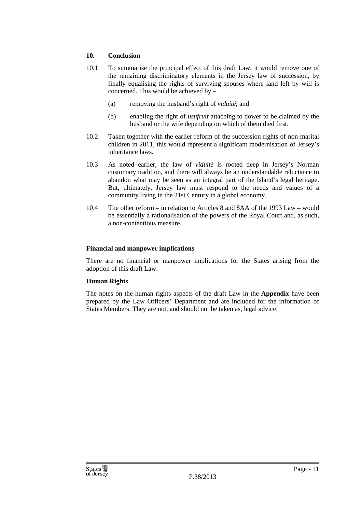### **10. Conclusion**

- 10.1 To summarise the principal effect of this draft Law, it would remove one of the remaining discriminatory elements in the Jersey law of succession, by finally equalising the rights of surviving spouses where land left by will is concerned. This would be achieved by –
	- (a) removing the husband's right of *viduité*; and
	- (b) enabling the right of *usufruit* attaching to dower to be claimed by the husband or the wife depending on which of them died first.
- 10.2 Taken together with the earlier reform of the succession rights of non-marital children in 2011, this would represent a significant modernisation of Jersey's inheritance laws.
- 10.3 As noted earlier, the law of *viduité* is rooted deep in Jersey's Norman customary tradition, and there will always be an understandable reluctance to abandon what may be seen as an integral part of the Island's legal heritage. But, ultimately, Jersey law must respond to the needs and values of a community living in the 21st Century in a global economy.
- 10.4 The other reform in relation to Articles 8 and 8AA of the 1993 Law would be essentially a rationalisation of the powers of the Royal Court and, as such, a non-contentious measure.

### **Financial and manpower implications**

There are no financial or manpower implications for the States arising from the adoption of this draft Law.

### **Human Rights**

The notes on the human rights aspects of the draft Law in the **Appendix** have been prepared by the Law Officers' Department and are included for the information of States Members. They are not, and should not be taken as, legal advice.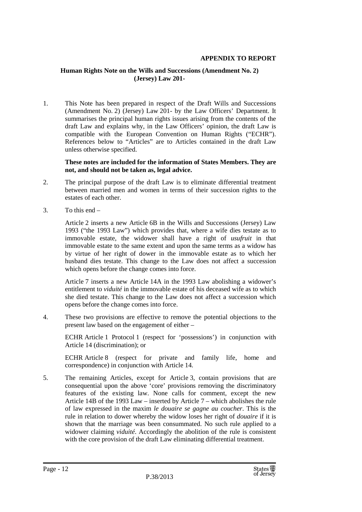### **APPENDIX TO REPORT**

### **Human Rights Note on the Wills and Successions (Amendment No. 2) (Jersey) Law 201-**

1. This Note has been prepared in respect of the Draft Wills and Successions (Amendment No. 2) (Jersey) Law 201- by the Law Officers' Department. It summarises the principal human rights issues arising from the contents of the draft Law and explains why, in the Law Officers' opinion, the draft Law is compatible with the European Convention on Human Rights ("ECHR"). References below to "Articles" are to Articles contained in the draft Law unless otherwise specified.

**These notes are included for the information of States Members. They are not, and should not be taken as, legal advice.**

- 2. The principal purpose of the draft Law is to eliminate differential treatment between married men and women in terms of their succession rights to the estates of each other.
- 3. To this end –

Article 2 inserts a new Article 6B in the Wills and Successions (Jersey) Law 1993 ("the 1993 Law") which provides that, where a wife dies testate as to immovable estate, the widower shall have a right of *usufruit* in that immovable estate to the same extent and upon the same terms as a widow has by virtue of her right of dower in the immovable estate as to which her husband dies testate. This change to the Law does not affect a succession which opens before the change comes into force.

Article 7 inserts a new Article 14A in the 1993 Law abolishing a widower's entitlement to *viduité* in the immovable estate of his deceased wife as to which she died testate. This change to the Law does not affect a succession which opens before the change comes into force.

4. These two provisions are effective to remove the potential objections to the present law based on the engagement of either –

ECHR Article 1 Protocol 1 (respect for 'possessions') in conjunction with Article 14 (discrimination); or

ECHR Article 8 (respect for private and family life, home and correspondence) in conjunction with Article 14.

5. The remaining Articles, except for Article 3, contain provisions that are consequential upon the above 'core' provisions removing the discriminatory features of the existing law. None calls for comment, except the new Article 14B of the 1993 Law – inserted by Article 7 – which abolishes the rule of law expressed in the maxim *le douaire se gagne au coucher*. This is the rule in relation to dower whereby the widow loses her right of *douaire* if it is shown that the marriage was been consummated. No such rule applied to a widower claiming *viduité*. Accordingly the abolition of the rule is consistent with the core provision of the draft Law eliminating differential treatment.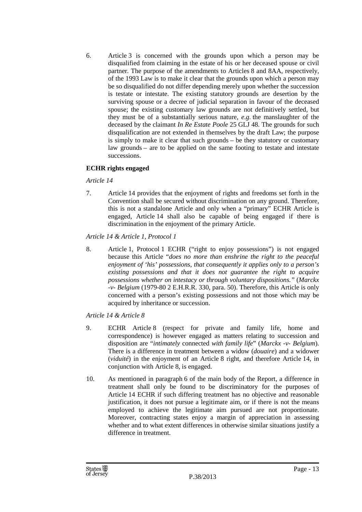6. Article 3 is concerned with the grounds upon which a person may be disqualified from claiming in the estate of his or her deceased spouse or civil partner. The purpose of the amendments to Articles 8 and 8AA, respectively, of the 1993 Law is to make it clear that the grounds upon which a person may be so disqualified do not differ depending merely upon whether the succession is testate or intestate. The existing statutory grounds are desertion by the surviving spouse or a decree of judicial separation in favour of the deceased spouse; the existing customary law grounds are not definitively settled, but they must be of a substantially serious nature, *e.g.* the manslaughter of the deceased by the claimant *In Re Estate Poole* 25 GLJ 48. The grounds for such disqualification are not extended in themselves by the draft Law; the purpose is simply to make it clear that such grounds – be they statutory or customary law grounds – are to be applied on the same footing to testate and intestate successions.

### **ECHR rights engaged**

### *Article 14*

7. Article 14 provides that the enjoyment of rights and freedoms set forth in the Convention shall be secured without discrimination on any ground. Therefore, this is not a standalone Article and only when a "primary" ECHR Article is engaged, Article 14 shall also be capable of being engaged if there is discrimination in the enjoyment of the primary Article.

### *Article 14 & Article 1, Protocol 1*

8. Article 1, Protocol 1 ECHR ("right to enjoy possessions") is not engaged because this Article "*does no more than enshrine the right to the peaceful enjoyment of 'his' possessions, that consequently it applies only to a person's existing possessions and that it does not guarantee the right to acquire possessions whether on intestacy or through voluntary dispositions."* (*Marckx -v- Belgium* (1979-80 2 E.H.R.R. 330, para. 50). Therefore, this Article is only concerned with a person's existing possessions and not those which may be acquired by inheritance or succession.

### *Article 14 & Article 8*

- 9. ECHR Article 8 (respect for private and family life, home and correspondence) is however engaged as matters relating to succession and disposition are "*intimately* connected *with family life*" (*Marckx -v- Belgium*). There is a difference in treatment between a widow (*douaire*) and a widower (*viduité*) in the enjoyment of an Article 8 right, and therefore Article 14, in conjunction with Article 8, is engaged.
- 10. As mentioned in paragraph 6 of the main body of the Report, a difference in treatment shall only be found to be discriminatory for the purposes of Article 14 ECHR if such differing treatment has no objective and reasonable justification, it does not pursue a legitimate aim, or if there is not the means employed to achieve the legitimate aim pursued are not proportionate. Moreover, contracting states enjoy a margin of appreciation in assessing whether and to what extent differences in otherwise similar situations justify a difference in treatment.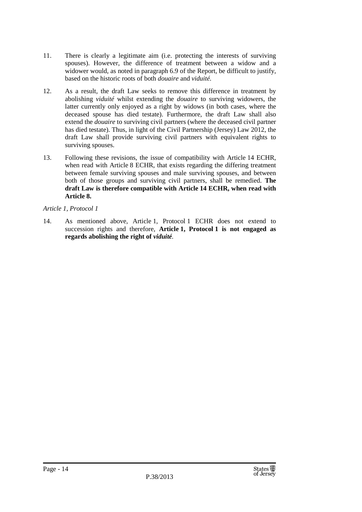- 11. There is clearly a legitimate aim (i.e. protecting the interests of surviving spouses). However, the difference of treatment between a widow and a widower would, as noted in paragraph 6.9 of the Report, be difficult to justify, based on the historic roots of both *douaire* and *viduité.*
- 12. As a result, the draft Law seeks to remove this difference in treatment by abolishing *viduité* whilst extending the *douaire* to surviving widowers, the latter currently only enjoyed as a right by widows (in both cases, where the deceased spouse has died testate). Furthermore, the draft Law shall also extend the *douaire* to surviving civil partners (where the deceased civil partner has died testate). Thus, in light of the Civil Partnership (Jersey) Law 2012, the draft Law shall provide surviving civil partners with equivalent rights to surviving spouses.
- 13. Following these revisions, the issue of compatibility with Article 14 ECHR, when read with Article 8 ECHR, that exists regarding the differing treatment between female surviving spouses and male surviving spouses, and between both of those groups and surviving civil partners, shall be remedied. **The draft Law is therefore compatible with Article 14 ECHR, when read with Article 8.**

### *Article 1, Protocol 1*

14. As mentioned above, Article 1, Protocol 1 ECHR does not extend to succession rights and therefore, **Article 1, Protocol 1 is not engaged as regards abolishing the right of** *viduité.*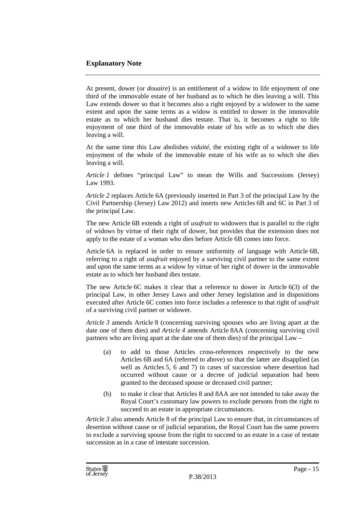### **Explanatory Note**

At present, dower (or *douaire*) is an entitlement of a widow to life enjoyment of one third of the immovable estate of her husband as to which he dies leaving a will. This Law extends dower so that it becomes also a right enjoyed by a widower to the same extent and upon the same terms as a widow is entitled to dower in the immovable estate as to which her husband dies testate. That is, it becomes a right to life enjoyment of one third of the immovable estate of his wife as to which she dies leaving a will.

At the same time this Law abolishes *viduité*, the existing right of a widower to life enjoyment of the whole of the immovable estate of his wife as to which she dies leaving a will.

*Article 1* defines "principal Law" to mean the Wills and Successions (Jersey) Law 1993.

*Article 2* replaces Article 6A (previously inserted in Part 3 of the principal Law by the Civil Partnership (Jersey) Law 2012) and inserts new Articles 6B and 6C in Part 3 of the principal Law.

The new Article 6B extends a right of *usufruit* to widowers that is parallel to the right of widows by virtue of their right of dower, but provides that the extension does not apply to the estate of a woman who dies before Article 6B comes into force.

Article 6A is replaced in order to ensure uniformity of language with Article 6B, referring to a right of *usufruit* enjoyed by a surviving civil partner to the same extent and upon the same terms as a widow by virtue of her right of dower in the immovable estate as to which her husband dies testate.

The new Article 6C makes it clear that a reference to dower in Article 6(3) of the principal Law, in other Jersey Laws and other Jersey legislation and in dispositions executed after Article 6C comes into force includes a reference to that right of *usufruit* of a surviving civil partner or widower.

*Article 3* amends Article 8 (concerning surviving spouses who are living apart at the date one of them dies) and *Article 4* amends Article 8AA (concerning surviving civil partners who are living apart at the date one of them dies) of the principal Law –

- (a) to add to those Articles cross-references respectively to the new Articles 6B and 6A (referred to above) so that the latter are disapplied (as well as Articles 5, 6 and 7) in cases of succession where desertion had occurred without cause or a decree of judicial separation had been granted to the deceased spouse or deceased civil partner;
- (b) to make it clear that Articles 8 and 8AA are not intended to take away the Royal Court's customary law powers to exclude persons from the right to succeed to an estate in appropriate circumstances.

*Article 3* also amends Article 8 of the principal Law to ensure that, in circumstances of desertion without cause or of judicial separation, the Royal Court has the same powers to exclude a surviving spouse from the right to succeed to an estate in a case of testate succession as in a case of intestate succession.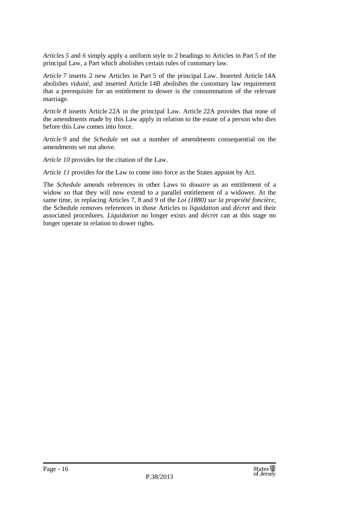*Articles 5* and *6* simply apply a uniform style to 2 headings to Articles in Part 5 of the principal Law, a Part which abolishes certain rules of customary law.

*Article 7* inserts 2 new Articles in Part 5 of the principal Law. Inserted Article 14A abolishes *viduité*, and inserted Article 14B abolishes the customary law requirement that a prerequisite for an entitlement to dower is the consummation of the relevant marriage.

*Article 8* inserts Article 22A in the principal Law. Article 22A provides that none of the amendments made by this Law apply in relation to the estate of a person who dies before this Law comes into force.

*Article 9* and the *Schedule* set out a number of amendments consequential on the amendments set out above.

*Article 10* provides for the citation of the Law.

*Article 11* provides for the Law to come into force as the States appoint by Act.

The *Schedule* amends references in other Laws to *douaire* as an entitlement of a widow so that they will now extend to a parallel entitlement of a widower. At the same time, in replacing Articles 7, 8 and 9 of the *Loi (1880) sur la propriété foncière*, the Schedule removes references in those Articles to *liquidation* and *décret* and their associated procedures. *Liquidation* no longer exists and *décret* can at this stage no longer operate in relation to dower rights.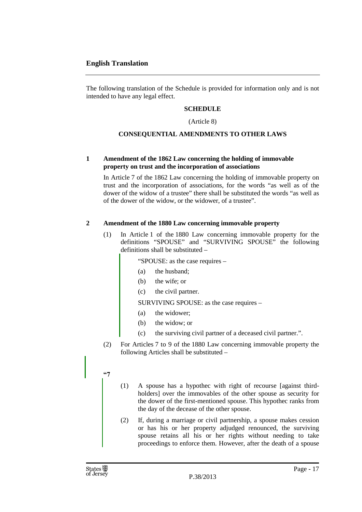### **English Translation**

The following translation of the Schedule is provided for information only and is not intended to have any legal effect.

### **SCHEDULE**

(Article 8)

### **CONSEQUENTIAL AMENDMENTS TO OTHER LAWS**

### **1 Amendment of the 1862 Law concerning the holding of immovable property on trust and the incorporation of associations**

In Article 7 of the 1862 Law concerning the holding of immovable property on trust and the incorporation of associations, for the words "as well as of the dower of the widow of a trustee" there shall be substituted the words "as well as of the dower of the widow, or the widower, of a trustee".

### **2 Amendment of the 1880 Law concerning immovable property**

(1) In Article 1 of the 1880 Law concerning immovable property for the definitions "SPOUSE" and "SURVIVING SPOUSE" the following definitions shall be substituted –

"SPOUSE: as the case requires –

- (a) the husband;
- (b) the wife; or
- (c) the civil partner.

SURVIVING SPOUSE: as the case requires –

- (a) the widower;
- (b) the widow; or
- (c) the surviving civil partner of a deceased civil partner.".
- (2) For Articles 7 to 9 of the 1880 Law concerning immovable property the following Articles shall be substituted –

### **"7**

- (1) A spouse has a hypothec with right of recourse [against thirdholders] over the immovables of the other spouse as security for the dower of the first-mentioned spouse. This hypothec ranks from the day of the decease of the other spouse.
- (2) If, during a marriage or civil partnership, a spouse makes cession or has his or her property adjudged renounced, the surviving spouse retains all his or her rights without needing to take proceedings to enforce them. However, after the death of a spouse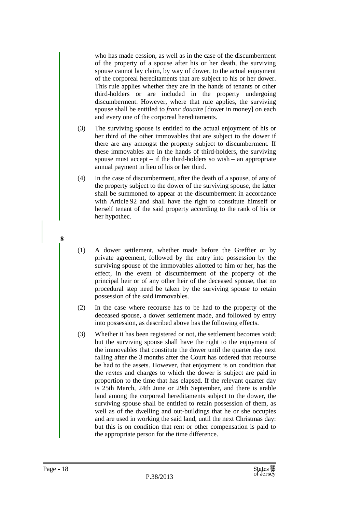who has made cession, as well as in the case of the discumberment of the property of a spouse after his or her death, the surviving spouse cannot lay claim, by way of dower, to the actual enjoyment of the corporeal hereditaments that are subject to his or her dower. This rule applies whether they are in the hands of tenants or other third-holders or are included in the property undergoing discumberment. However, where that rule applies, the surviving spouse shall be entitled to *franc douaire* [dower in money] on each and every one of the corporeal hereditaments.

- (3) The surviving spouse is entitled to the actual enjoyment of his or her third of the other immovables that are subject to the dower if there are any amongst the property subject to discumberment*.* If these immovables are in the hands of third-holders, the surviving spouse must accept – if the third-holders so wish – an appropriate annual payment in lieu of his or her third.
- (4) In the case of discumberment, after the death of a spouse, of any of the property subject to the dower of the surviving spouse, the latter shall be summoned to appear at the discumberment in accordance with Article 92 and shall have the right to constitute himself or herself tenant of the said property according to the rank of his or her hypothec.
- (1) A dower settlement, whether made before the Greffier or by private agreement, followed by the entry into possession by the surviving spouse of the immovables allotted to him or her, has the effect, in the event of discumberment of the property of the principal heir or of any other heir of the deceased spouse, that no procedural step need be taken by the surviving spouse to retain possession of the said immovables.
- (2) In the case where recourse has to be had to the property of the deceased spouse, a dower settlement made, and followed by entry into possession, as described above has the following effects.
- (3) Whether it has been registered or not, the settlement becomes void; but the surviving spouse shall have the right to the enjoyment of the immovables that constitute the dower until the quarter day next falling after the 3 months after the Court has ordered that recourse be had to the assets. However, that enjoyment is on condition that the *rentes* and charges to which the dower is subject are paid in proportion to the time that has elapsed. If the relevant quarter day is 25th March, 24th June or 29th September, and there is arable land among the corporeal hereditaments subject to the dower, the surviving spouse shall be entitled to retain possession of them, as well as of the dwelling and out-buildings that he or she occupies and are used in working the said land, until the next Christmas day: but this is on condition that rent or other compensation is paid to the appropriate person for the time difference.

**8**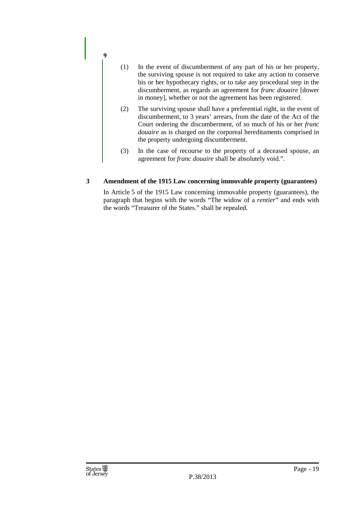- (1) In the event of discumberment of any part of his or her property, the surviving spouse is not required to take any action to conserve his or her hypothecary rights, or to take any procedural step in the discumberment, as regards an agreement for *franc douaire* [dower in money], whether or not the agreement has been registered.
- (2) The surviving spouse shall have a preferential right, in the event of discumberment, to 3 years' arrears, from the date of the Act of the Court ordering the discumberment, of so much of his or her *franc douaire* as is charged on the corporeal hereditaments comprised in the property undergoing discumberment.
- (3) In the case of recourse to the property of a deceased spouse, an agreement for *franc douaire* shall be absolutely void.".

### **3 Amendment of the 1915 Law concerning immovable property (guarantees)**

In Article 5 of the 1915 Law concerning immovable property (guarantees), the paragraph that begins with the words "The widow of a *rentier*" and ends with the words "Treasurer of the States." shall be repealed.

**9**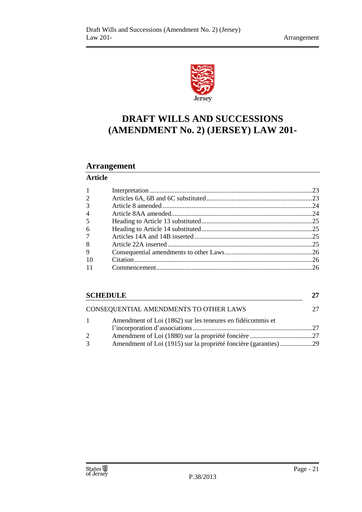

### **DRAFT WILLS AND SUCCESSIONS (AMENDMENT No. 2) (JERSEY) LAW 201-**

### **Arrangement**

### **Article**

| -1             |  |
|----------------|--|
| 2              |  |
| 3              |  |
| $\overline{4}$ |  |
| $\overline{5}$ |  |
| 6              |  |
| $\tau$         |  |
| 8              |  |
| 9              |  |
| -10            |  |
|                |  |
|                |  |

| <b>SCHEDULE</b>                        |                                                                  |  |
|----------------------------------------|------------------------------------------------------------------|--|
| CONSEQUENTIAL AMENDMENTS TO OTHER LAWS |                                                                  |  |
| $\mathbf{1}$                           | Amendment of Loi (1862) sur les teneures en fidéicommis et       |  |
|                                        |                                                                  |  |
| 2                                      |                                                                  |  |
| 3                                      | Amendment of Loi (1915) sur la propriété foncière (garanties) 29 |  |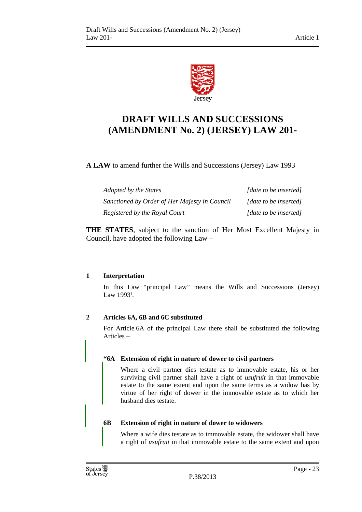

### **DRAFT WILLS AND SUCCESSIONS (AMENDMENT No. 2) (JERSEY) LAW 201-**

**A LAW** to amend further the Wills and Successions (Jersey) Law 1993

| Adopted by the States                         | [date to be inserted] |
|-----------------------------------------------|-----------------------|
| Sanctioned by Order of Her Majesty in Council | [date to be inserted] |
| Registered by the Royal Court                 | [date to be inserted] |

**THE STATES**, subject to the sanction of Her Most Excellent Majesty in Council, have adopted the following Law –

### **1 Interpretation**

In this Law "principal Law" means the Wills and Successions (Jersey) Law 1993<sup>1</sup>.

### **2 Articles 6A, 6B and 6C substituted**

For Article 6A of the principal Law there shall be substituted the following Articles –

### **"6A Extension of right in nature of dower to civil partners**

Where a civil partner dies testate as to immovable estate, his or her surviving civil partner shall have a right of *usufruit* in that immovable estate to the same extent and upon the same terms as a widow has by virtue of her right of dower in the immovable estate as to which her husband dies testate.

### **6B Extension of right in nature of dower to widowers**

Where a wife dies testate as to immovable estate, the widower shall have a right of *usufruit* in that immovable estate to the same extent and upon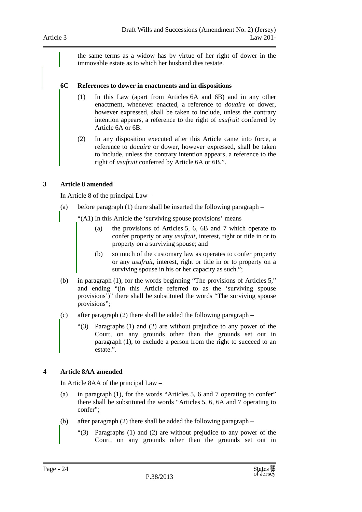the same terms as a widow has by virtue of her right of dower in the immovable estate as to which her husband dies testate.

#### **6C References to dower in enactments and in dispositions**

- (1) In this Law (apart from Articles 6A and 6B) and in any other enactment, whenever enacted, a reference to *douaire* or dower, however expressed, shall be taken to include, unless the contrary intention appears, a reference to the right of *usufruit* conferred by Article 6A or 6B.
- (2) In any disposition executed after this Article came into force, a reference to *douaire* or dower, however expressed, shall be taken to include, unless the contrary intention appears, a reference to the right of *usufruit* conferred by Article 6A or 6B.".

### **3 Article 8 amended**

In Article 8 of the principal Law –

- (a) before paragraph (1) there shall be inserted the following paragraph
	- "(A1) In this Article the 'surviving spouse provisions' means
		- (a) the provisions of Articles 5, 6, 6B and 7 which operate to confer property or any *usufruit*, interest, right or title in or to property on a surviving spouse; and
		- (b) so much of the customary law as operates to confer property or any *usufruit*, interest, right or title in or to property on a surviving spouse in his or her capacity as such.";
- (b) in paragraph (1), for the words beginning "The provisions of Articles 5," and ending "(in this Article referred to as the 'surviving spouse provisions')" there shall be substituted the words "The surviving spouse provisions";
- (c) after paragraph (2) there shall be added the following paragraph
	- "(3) Paragraphs (1) and (2) are without prejudice to any power of the Court, on any grounds other than the grounds set out in paragraph (1), to exclude a person from the right to succeed to an estate.".

### **4 Article 8AA amended**

In Article 8AA of the principal Law –

- (a) in paragraph (1), for the words "Articles 5, 6 and 7 operating to confer" there shall be substituted the words "Articles 5, 6, 6A and 7 operating to confer";
- (b) after paragraph (2) there shall be added the following paragraph
	- "(3) Paragraphs (1) and (2) are without prejudice to any power of the Court, on any grounds other than the grounds set out in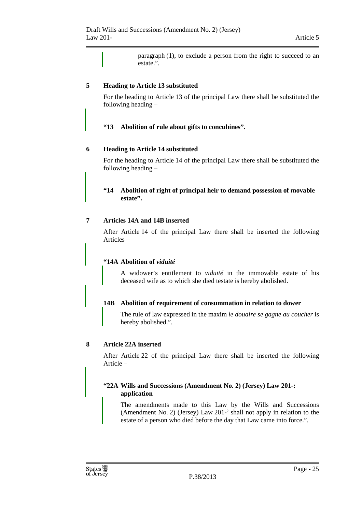paragraph (1), to exclude a person from the right to succeed to an estate.".

### **5 Heading to Article 13 substituted**

For the heading to Article 13 of the principal Law there shall be substituted the following heading –

### **"13 Abolition of rule about gifts to concubines".**

### **6 Heading to Article 14 substituted**

For the heading to Article 14 of the principal Law there shall be substituted the following heading –

### **"14 Abolition of right of principal heir to demand possession of movable estate".**

### **7 Articles 14A and 14B inserted**

After Article 14 of the principal Law there shall be inserted the following Articles –

### **"14A Abolition of** *viduité*

A widower's entitlement to *viduité* in the immovable estate of his deceased wife as to which she died testate is hereby abolished.

### **14B Abolition of requirement of consummation in relation to dower**

The rule of law expressed in the maxim *le douaire se gagne au coucher* is hereby abolished.".

### **8 Article 22A inserted**

After Article 22 of the principal Law there shall be inserted the following Article –

### **"22A Wills and Successions (Amendment No. 2) (Jersey) Law 201-: application**

The amendments made to this Law by the Wills and Successions (Amendment No. 2) (Jersey) Law 201-<sup>2</sup> shall not apply in relation to the estate of a person who died before the day that Law came into force.".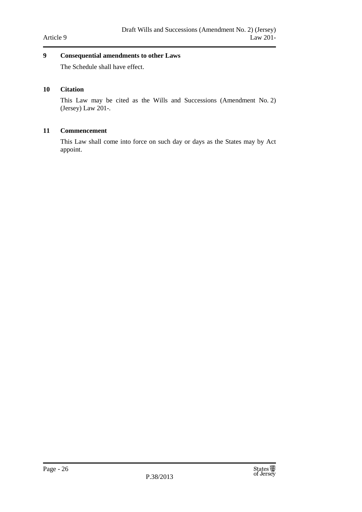### **9 Consequential amendments to other Laws**

The Schedule shall have effect.

### **10 Citation**

This Law may be cited as the Wills and Successions (Amendment No. 2) (Jersey) Law 201-.

### **11 Commencement**

This Law shall come into force on such day or days as the States may by Act appoint.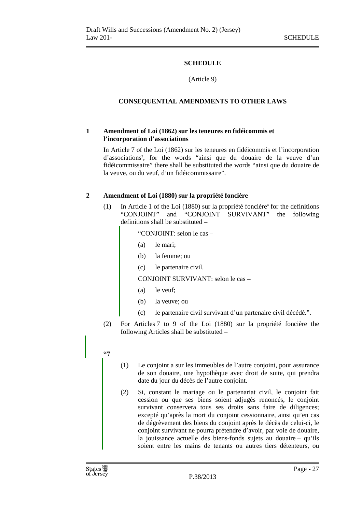### **SCHEDULE**

(Article 9)

### **CONSEQUENTIAL AMENDMENTS TO OTHER LAWS**

### **1 Amendment of Loi (1862) sur les teneures en fidéicommis et l'incorporation d'associations**

In Article 7 of the Loi (1862) sur les teneures en fidéicommis et l'incorporation d'associations<sup>3</sup> , for the words "ainsi que du douaire de la veuve d'un fidéicommissaire" there shall be substituted the words "ainsi que du douaire de la veuve, ou du veuf, d'un fidéicommissaire".

### **2 Amendment of Loi (1880) sur la propriété foncière**

 $(1)$  In Article 1 of the Loi (1880) sur la propriété foncière<sup>4</sup> for the definitions "CONJOINT" and "CONJOINT SURVIVANT" the following definitions shall be substituted –

"CONJOINT: selon le cas –

- (a) le mari;
- (b) la femme; ou
- (c) le partenaire civil.

CONJOINT SURVIVANT: selon le cas –

- (a) le veuf;
- (b) la veuve; ou
- (c) le partenaire civil survivant d'un partenaire civil décédé.".
- (2) For Articles 7 to 9 of the Loi (1880) sur la propriété foncière the following Articles shall be substituted –
- **"7**
- (1) Le conjoint a sur les immeubles de l'autre conjoint, pour assurance de son douaire, une hypothèque avec droit de suite, qui prendra date du jour du décès de l'autre conjoint.
- (2) Si, constant le mariage ou le partenariat civil, le conjoint fait cession ou que ses biens soient adjugés renoncés, le conjoint survivant conservera tous ses droits sans faire de diligences; excepté qu'après la mort du conjoint cessionnaire, ainsi qu'en cas de dégrèvement des biens du conjoint après le décès de celui-ci, le conjoint survivant ne pourra prétendre d'avoir, par voie de douaire, la jouissance actuelle des biens-fonds sujets au douaire – qu'ils soient entre les mains de tenants ou autres tiers détenteurs, ou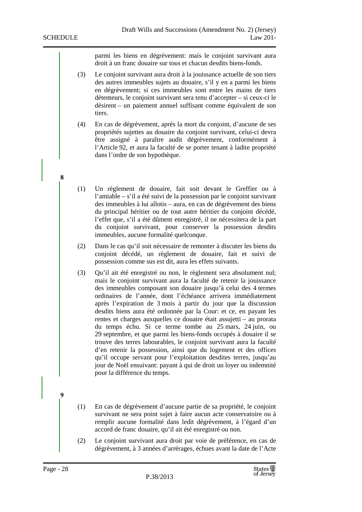**8** 

parmi les biens en dégrèvement: mais le conjoint survivant aura droit à un franc douaire sur tous et chacun desdits biens-fonds.

- (3) Le conjoint survivant aura droit à la jouissance actuelle de son tiers des autres immeubles sujets au douaire, s'il y en a parmi les biens en dégrèvement; si ces immeubles sont entre les mains de tiers détenteurs, le conjoint survivant sera tenu d'accepter – si ceux-ci le désirent – un paiement annuel suffisant comme équivalent de son tiers.
- (4) En cas de dégrèvement, après la mort du conjoint, d'aucune de ses propriétés sujettes au douaire du conjoint survivant, celui-ci devra être assigné à paraître audit dégrèvement, conformément à l'Article 92, et aura la faculté de se porter tenant à ladite propriété dans l'ordre de son hypothèque.
- (1) Un règlement de douaire, fait soit devant le Greffier ou à l'amiable – s'il a été suivi de la possession par le conjoint survivant des immeubles à lui allotis – aura, en cas de dégrèvement des biens du principal héritier ou de tout autre héritier du conjoint décédé, l'effet que, s'il a été dûment enregistré, il ne nécessitera de la part du conjoint survivant, pour conserver la possession desdits immeubles, aucune formalité quelconque.
- (2) Dans le cas qu'il soit nécessaire de remonter à discuter les biens du conjoint décédé, un règlement de douaire, fait et suivi de possession comme sus est dit, aura les effets suivants.
- (3) Qu'il ait été enregistré ou non, le règlement sera absolument nul; mais le conjoint survivant aura la faculté de retenir la jouissance des immeubles composant son douaire jusqu'à celui des 4 termes ordinaires de l'année, dont l'échéance arrivera immédiatement après l'expiration de 3 mois à partir du jour que la discussion desdits biens aura été ordonnée par la Cour: et ce, en payant les rentes et charges auxquelles ce douaire était assujetti – au prorata du temps échu. Si ce terme tombe au 25 mars, 24 juin, ou 29 septembre, et que parmi les biens-fonds occupés à douaire il se trouve des terres labourables, le conjoint survivant aura la faculté d'en retenir la possession, ainsi que du logement et des offices qu'il occupe servant pour l'exploitation desdites terres, jusqu'au jour de Noël ensuivant: payant à qui de droit un loyer ou indemnité pour la différence du temps.
- (1) En cas de dégrèvement d'aucune partie de sa propriété, le conjoint survivant ne sera point sujet à faire aucun acte conservatoire ou à remplir aucune formalité dans ledit dégrèvement, à l'égard d'un accord de franc douaire, qu'il ait été enregistré ou non.
- (2) Le conjoint survivant aura droit par voie de préférence, en cas de dégrèvement, à 3 années d'arrérages, échues avant la date de l'Acte

**9**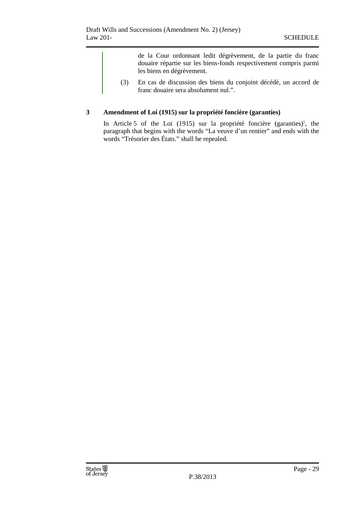de la Cour ordonnant ledit dégrèvement, de la partie du franc douaire répartie sur les biens-fonds respectivement compris parmi les biens en dégrèvement.

(3) En cas de discussion des biens du conjoint décédé, un accord de franc douaire sera absolument nul.".

### **3 Amendment of Loi (1915) sur la propriété foncière (garanties)**

In Article 5 of the Loi (1915) sur la propriété foncière (garanties)<sup>5</sup>, the paragraph that begins with the words "La veuve d'un rentier" and ends with the words "Trésorier des États." shall be repealed.